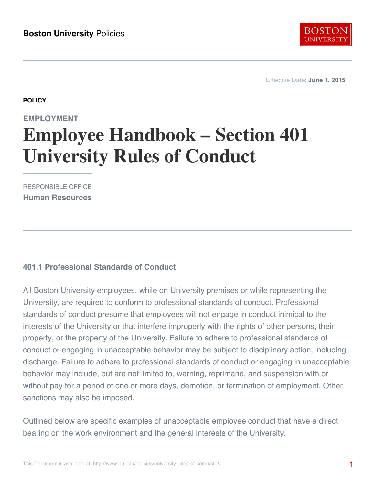

Effective Date: **June 1, 2015**

#### **POLICY**

# **EMPLOYMENT Employee Handbook – Section 401 University Rules of Conduct**

RESPONSIBLE OFFICE **Human Resources**

### **401.1 Professional Standards of Conduct**

All Boston University employees, while on University premises or while representing the University, are required to conform to professional standards of conduct. Professional standards of conduct presume that employees will not engage in conduct inimical to the interests of the University or that interfere improperly with the rights of other persons, their property, or the property of the University. Failure to adhere to professional standards of conduct or engaging in unacceptable behavior may be subject to disciplinary action, including discharge. Failure to adhere to professional standards of conduct or engaging in unacceptable behavior may include, but are not limited to, warning, reprimand, and suspension with or without pay for a period of one or more days, demotion, or termination of employment. Other sanctions may also be imposed.

Outlined below are specific examples of unacceptable employee conduct that have a direct bearing on the work environment and the general interests of the University.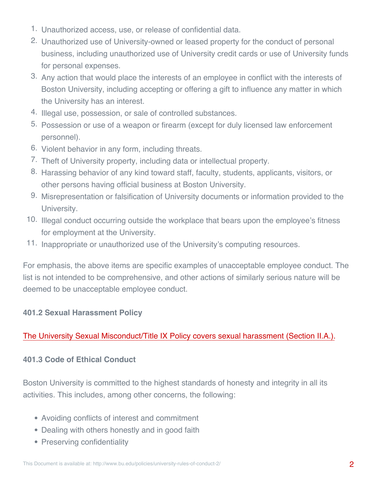- 1. Unauthorized access, use, or release of confidential data.
- 2. Unauthorized use of University-owned or leased property for the conduct of personal business, including unauthorized use of University credit cards or use of University funds for personal expenses.
- 3. Any action that would place the interests of an employee in conflict with the interests of Boston University, including accepting or offering a gift to influence any matter in which the University has an interest.
- 4. Illegal use, possession, or sale of controlled substances.
- 5. Possession or use of a weapon or firearm (except for duly licensed law enforcement personnel).
- 6. Violent behavior in any form, including threats.
- 7. Theft of University property, including data or intellectual property.
- 8. Harassing behavior of any kind toward staff, faculty, students, applicants, visitors, or other persons having official business at Boston University.
- 9. Misrepresentation or falsification of University documents or information provided to the University.
- 10. Illegal conduct occurring outside the workplace that bears upon the employee's fitness for employment at the University.
- 11. Inappropriate or unauthorized use of the University's computing resources.

For emphasis, the above items are specific examples of unacceptable employee conduct. The list is not intended to be comprehensive, and other actions of similarly serious nature will be deemed to be unacceptable employee conduct.

### **401.2 Sexual Harassment Policy**

## [The University Sexual Misconduct/Title IX Policy covers sexual harassment \(Section II.A.\).](http://www.bu.edu/policies/sexual-misconduct-title-ix-hr/)

### **401.3 Code of Ethical Conduct**

Boston University is committed to the highest standards of honesty and integrity in all its activities. This includes, among other concerns, the following:

- Avoiding conflicts of interest and commitment
- Dealing with others honestly and in good faith
- Preserving confidentiality